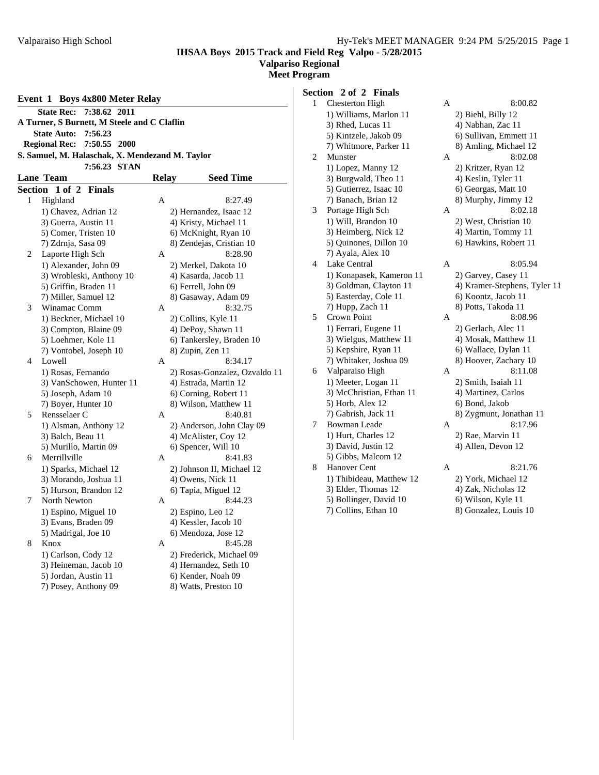**Valpariso Regional Meet Program**

|   | <b>State Rec:</b><br>7:38.62 2011               |              |                               |
|---|-------------------------------------------------|--------------|-------------------------------|
|   |                                                 |              |                               |
|   | A Turner, S Burnett, M Steele and C Claflin     |              |                               |
|   | <b>State Auto:</b><br>7:56.23                   |              |                               |
|   | <b>Regional Rec:</b><br>7:50.55 2000            |              |                               |
|   | S. Samuel, M. Halaschak, X. Mendezand M. Taylor |              |                               |
|   | 7:56.23 STAN                                    |              |                               |
|   | <b>Lane Team</b>                                | <b>Relay</b> | <b>Seed Time</b>              |
|   | Section 1 of 2 Finals                           |              |                               |
| 1 | Highland                                        | Α            | 8:27.49                       |
|   | 1) Chavez, Adrian 12                            |              | 2) Hernandez, Isaac 12        |
|   | 3) Guerra, Austin 11                            |              | 4) Kristy, Michael 11         |
|   | 5) Comer, Tristen 10                            |              | 6) McKnight, Ryan 10          |
|   | 7) Zdrnja, Sasa 09                              |              | 8) Zendejas, Cristian 10      |
| 2 | Laporte High Sch                                | A            | 8:28.90                       |
|   | 1) Alexander, John 09                           |              | 2) Merkel, Dakota 10          |
|   | 3) Wrobleski, Anthony 10                        |              | 4) Kasarda, Jacob 11          |
|   | 5) Griffin, Braden 11                           |              | 6) Ferrell, John 09           |
|   | 7) Miller, Samuel 12                            |              | 8) Gasaway, Adam 09           |
| 3 | Winamac Comm                                    | А            | 8:32.75                       |
|   | 1) Beckner, Michael 10                          |              | 2) Collins, Kyle 11           |
|   | 3) Compton, Blaine 09                           |              | 4) DePoy, Shawn 11            |
|   | 5) Loehmer, Kole 11                             |              | 6) Tankersley, Braden 10      |
|   | 7) Vontobel, Joseph 10                          |              | 8) Zupin, Zen 11              |
| 4 | Lowell                                          | А            | 8:34.17                       |
|   | 1) Rosas, Fernando                              |              | 2) Rosas-Gonzalez, Ozvaldo 11 |
|   | 3) VanSchowen, Hunter 11                        |              | 4) Estrada, Martin 12         |
|   | 5) Joseph, Adam 10                              |              | 6) Corning, Robert 11         |
|   | 7) Boyer, Hunter 10                             |              | 8) Wilson, Matthew 11         |
| 5 | Rensselaer C                                    | А            | 8:40.81                       |
|   | 1) Alsman, Anthony 12                           |              | 2) Anderson, John Clay 09     |
|   | 3) Balch, Beau 11                               |              | 4) McAlister, Coy 12          |
|   | 5) Murillo, Martin 09                           |              | 6) Spencer, Will 10           |
| 6 | Merrillville                                    | А            | 8:41.83                       |
|   | 1) Sparks, Michael 12                           |              | 2) Johnson II, Michael 12     |
|   | 3) Morando, Joshua 11                           |              | 4) Owens, Nick 11             |
|   | 5) Hurson, Brandon 12                           |              | 6) Tapia, Miguel 12           |
| 7 | North Newton                                    | А            | 8:44.23                       |
|   | 1) Espino, Miguel 10                            |              | 2) Espino, Leo 12             |
|   | 3) Evans, Braden 09                             |              | 4) Kessler, Jacob 10          |
|   | 5) Madrigal, Joe 10                             |              | 6) Mendoza, Jose 12           |
| 8 | Knox                                            | А            | 8:45.28                       |
|   | 1) Carlson, Cody 12                             |              | 2) Frederick, Michael 09      |
|   | 3) Heineman, Jacob 10                           |              | 4) Hernandez, Seth 10         |
|   | 5) Jordan, Austin 11                            |              | 6) Kender, Noah 09            |
|   | 7) Posey, Anthony 09                            |              | 8) Watts, Preston 10          |
|   |                                                 |              |                               |

| Section 2 of 2 Finals |  |  |
|-----------------------|--|--|
|                       |  |  |

| $\mathbf{1}$ | <b>Chesterton High</b>   | A | 8:00.82                      |
|--------------|--------------------------|---|------------------------------|
|              | 1) Williams, Marlon 11   |   | 2) Biehl, Billy 12           |
|              | 3) Rhed, Lucas 11        |   | 4) Nabhan, Zac 11            |
|              | 5) Kintzele, Jakob 09    |   | 6) Sullivan, Emmett 11       |
|              | 7) Whitmore, Parker 11   |   | 8) Amling, Michael 12        |
| 2            | Munster                  | A | 8:02.08                      |
|              | 1) Lopez, Manny 12       |   | 2) Kritzer, Ryan 12          |
|              | 3) Burgwald, Theo 11     |   | 4) Keslin, Tyler 11          |
|              | 5) Gutierrez, Isaac 10   |   | 6) Georgas, Matt 10          |
|              | 7) Banach, Brian 12      |   | 8) Murphy, Jimmy 12          |
| 3            | Portage High Sch         | A | 8:02.18                      |
|              | 1) Will, Brandon 10      |   | 2) West, Christian 10        |
|              | 3) Heimberg, Nick 12     |   | 4) Martin, Tommy 11          |
|              | 5) Quinones, Dillon 10   |   | 6) Hawkins, Robert 11        |
|              | 7) Ayala, Alex 10        |   |                              |
| 4            | Lake Central             | Α | 8:05.94                      |
|              | 1) Konapasek, Kameron 11 |   | 2) Garvey, Casey 11          |
|              | 3) Goldman, Clayton 11   |   | 4) Kramer-Stephens, Tyler 11 |
|              | 5) Easterday, Cole 11    |   | 6) Koontz, Jacob 11          |
|              | 7) Hupp, Zach 11         |   | 8) Potts, Takoda 11          |
| 5            | Crown Point              | A | 8:08.96                      |
|              | 1) Ferrari, Eugene 11    |   | 2) Gerlach, Alec 11          |
|              | 3) Wielgus, Matthew 11   |   | 4) Mosak, Matthew 11         |
|              | 5) Kepshire, Ryan 11     |   | 6) Wallace, Dylan 11         |
|              | 7) Whitaker, Joshua 09   |   | 8) Hoover, Zachary 10        |
| 6            | Valparaiso High          | A | 8:11.08                      |
|              | 1) Meeter, Logan 11      |   | 2) Smith, Isaiah 11          |
|              | 3) McChristian, Ethan 11 |   | 4) Martinez, Carlos          |
|              | 5) Horb, Alex 12         |   | 6) Bond, Jakob               |
|              | 7) Gabrish, Jack 11      |   | 8) Zygmunt, Jonathan 11      |
| 7            | <b>Bowman Leade</b>      | А | 8:17.96                      |
|              | 1) Hurt, Charles 12      |   | 2) Rae, Marvin 11            |
|              | 3) David, Justin 12      |   | 4) Allen, Devon 12           |
|              | 5) Gibbs, Malcom 12      |   |                              |
| 8            | Hanover Cent             | Α | 8:21.76                      |
|              | 1) Thibideau, Matthew 12 |   | 2) York, Michael 12          |
|              | 3) Elder, Thomas 12      |   | 4) Zak, Nicholas 12          |
|              | 5) Bollinger, David 10   |   | 6) Wilson, Kyle 11           |
|              | 7) Collins, Ethan 10     |   | 8) Gonzalez, Louis 10        |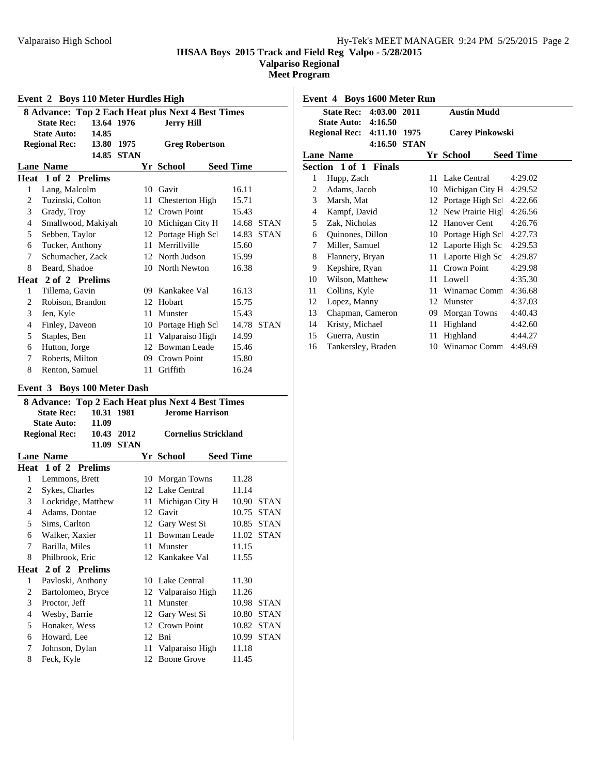**Valpariso Regional**

**Meet Program**

| $E$ vent 2 Doys 110 meter Hurthes High<br><b>8 Advance: Top 2 Each Heat plus Next 4 Best Times</b> |                                 |    |                       |                      |
|----------------------------------------------------------------------------------------------------|---------------------------------|----|-----------------------|----------------------|
|                                                                                                    | 13.64 1976<br><b>State Rec:</b> |    |                       |                      |
|                                                                                                    | 14.85<br><b>State Auto:</b>     |    | <b>Jerry Hill</b>     |                      |
| <b>Regional Rec:</b><br>13.80 1975                                                                 |                                 |    |                       |                      |
|                                                                                                    | 14.85 STAN                      |    | <b>Greg Robertson</b> |                      |
|                                                                                                    |                                 |    |                       |                      |
|                                                                                                    | <b>Lane Name</b>                |    | Yr School             | <b>Seed Time</b>     |
|                                                                                                    | Heat 1 of 2 Prelims             |    |                       |                      |
| 1                                                                                                  | Lang, Malcolm                   |    | 10 Gavit              | 16.11                |
| 2                                                                                                  | Tuzinski, Colton                |    | 11 Chesterton High    | 15.71                |
| 3                                                                                                  | Grady, Troy                     |    | 12 Crown Point        | 15.43                |
| $\overline{4}$                                                                                     | Smallwood, Makiyah              |    | 10 Michigan City H    | 14.68 STAN           |
| 5                                                                                                  | Sebben, Taylor                  |    | 12 Portage High Scl   | <b>STAN</b><br>14.83 |
| 6                                                                                                  | Tucker, Anthony                 |    | 11 Merrillyille       | 15.60                |
| 7                                                                                                  | Schumacher, Zack                |    | 12 North Judson       | 15.99                |
| 8                                                                                                  | Beard, Shadoe                   |    | 10 North Newton       | 16.38                |
|                                                                                                    | Heat 2 of 2 Prelims             |    |                       |                      |
| 1                                                                                                  | Tillema, Gavin                  |    | 09 Kankakee Val       | 16.13                |
| 2                                                                                                  | Robison, Brandon                | 12 | Hobart                | 15.75                |
| 3                                                                                                  | Jen, Kyle                       | 11 | Munster               | 15.43                |
| $\overline{4}$                                                                                     | Finley, Daveon                  | 10 | Portage High Scl      | 14.78 STAN           |
| 5                                                                                                  | Staples, Ben                    |    | 11 Valparaiso High    | 14.99                |
| 6                                                                                                  | Hutton, Jorge                   | 12 | <b>Bowman Leade</b>   | 15.46                |
| 7                                                                                                  | Roberts, Milton                 |    | 09 Crown Point        | 15.80                |
| 8                                                                                                  | Renton, Samuel                  | 11 | Griffith              | 16.24                |

# **Event 2 Boys 110 Meter Hurdles High**

#### **Event 3 Boys 100 Meter Dash**

|                             | 8 Advance: Top 2 Each Heat plus Next 4 Best Times |            |             |    |                             |  |                  |             |
|-----------------------------|---------------------------------------------------|------------|-------------|----|-----------------------------|--|------------------|-------------|
|                             | <b>State Rec:</b>                                 | 10.31 1981 |             |    | <b>Jerome Harrison</b>      |  |                  |             |
| 11.09<br><b>State Auto:</b> |                                                   |            |             |    |                             |  |                  |             |
|                             | <b>Regional Rec:</b>                              | 10.43 2012 |             |    | <b>Cornelius Strickland</b> |  |                  |             |
|                             |                                                   | 11.09      | <b>STAN</b> |    |                             |  |                  |             |
|                             | <b>Lane Name</b>                                  |            |             |    | Yr School                   |  | <b>Seed Time</b> |             |
|                             | <b>Heat 1 of 2 Prelims</b>                        |            |             |    |                             |  |                  |             |
| 1                           | Lemmons, Brett                                    |            |             | 10 | Morgan Towns                |  | 11.28            |             |
| 2                           | Sykes, Charles                                    |            |             |    | 12 Lake Central             |  | 11.14            |             |
| 3                           | Lockridge, Matthew                                |            |             | 11 | Michigan City H             |  | 10.90            | <b>STAN</b> |
| 4                           | Adams, Dontae                                     |            |             | 12 | Gavit                       |  | 10.75            | <b>STAN</b> |
| 5                           | Sims, Carlton                                     |            |             |    | 12 Gary West Si             |  | 10.85            | <b>STAN</b> |
| 6                           | Walker, Xaxier                                    |            |             | 11 | Bowman Leade                |  | 11.02            | <b>STAN</b> |
| 7                           | Barilla, Miles                                    |            |             | 11 | Munster                     |  | 11.15            |             |
| 8                           | Philbrook, Eric                                   |            |             |    | 12 Kankakee Val             |  | 11.55            |             |
|                             | Heat 2 of 2 Prelims                               |            |             |    |                             |  |                  |             |
| $\mathbf{1}$                | Pavloski, Anthony                                 |            |             |    | 10 Lake Central             |  | 11.30            |             |
| 2                           | Bartolomeo, Bryce                                 |            |             |    | 12 Valparaiso High          |  | 11.26            |             |
| 3                           | Proctor, Jeff                                     |            |             | 11 | Munster                     |  | 10.98            | <b>STAN</b> |
| $\overline{4}$              | Wesby, Barrie                                     |            |             | 12 | Gary West Si                |  | 10.80            | <b>STAN</b> |
| 5                           | Honaker, Wess                                     |            |             |    | 12 Crown Point              |  |                  | 10.82 STAN  |
| 6                           | Howard, Lee                                       |            |             | 12 | <b>B</b> ni                 |  | 10.99            | <b>STAN</b> |
| 7                           | Johnson, Dylan                                    |            |             |    | 11 Valparaiso High          |  | 11.18            |             |
| 8                           | Feck, Kyle                                        |            |             | 12 | <b>Boone Grove</b>          |  | 11.45            |             |
|                             |                                                   |            |             |    |                             |  |                  |             |

**Event 4 Boys 1600 Meter Run State Rec: 4:03.00 2011 Austin Mudd State Auto: 4:16.50 Regional Rec: 4:11.10 1975 Carey Pinkowski 4:16.50 STAN Lane Name Seed Time Seed Time Section 1 of 1 Finals** 1 Hupp, Zach 11 Lake Central 4:29.02 2 Adams, Jacob 10 Michigan City H 4:29.52 3 Marsh, Mat 12 Portage High Scl 4:22.66 4 Kampf, David 12 New Prairie High 4:26.56 5 Zak, Nicholas 12 Hanover Cent 4:26.76 6 Quinones, Dillon 10 Portage High Scl 4:27.73 7 Miller, Samuel 12 Laporte High Sch 4:29.53 8 Flannery, Bryan 11 Laporte High Scl 4:29.87 9 Kepshire, Ryan 11 Crown Point 4:29.98 10 Wilson, Matthew 11 Lowell 4:35.30 11 Collins, Kyle 11 Winamac Comm 4:36.68 12 Lopez, Manny 12 Munster 4:37.03 13 Chapman, Cameron 09 Morgan Towns 4:40.43 14 Kristy, Michael 11 Highland 4:42.60 15 Guerra, Austin 11 Highland 4:44.27 16 Tankersley, Braden 10 Winamac Comm 4:49.69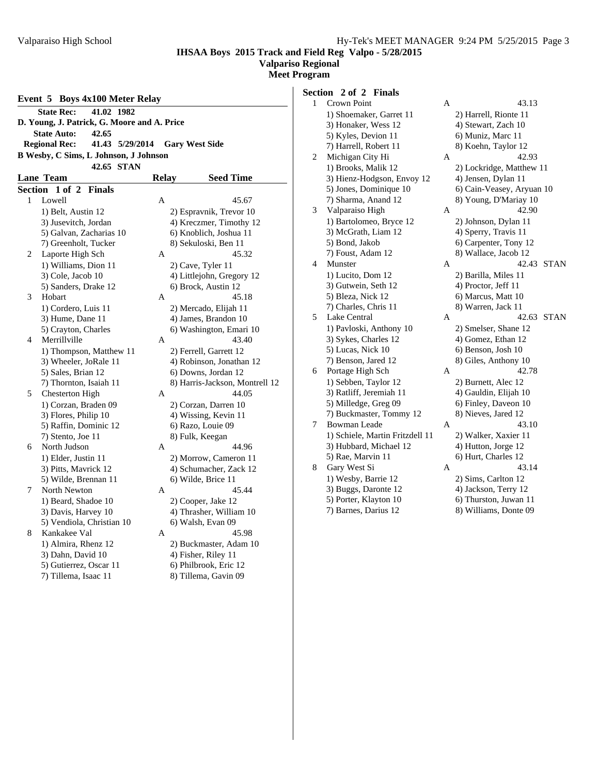#### **Valpariso Regional**

**Meet Program**

| Event 5 Boys 4x100 Meter Relay                                   |                                              |   |                                |  |  |  |  |
|------------------------------------------------------------------|----------------------------------------------|---|--------------------------------|--|--|--|--|
| 41.02 1982<br><b>State Rec:</b>                                  |                                              |   |                                |  |  |  |  |
| D. Young, J. Patrick, G. Moore and A. Price                      |                                              |   |                                |  |  |  |  |
|                                                                  | <b>State Auto:</b><br>42.65                  |   |                                |  |  |  |  |
| <b>Regional Rec:</b><br>41.43 5/29/2014<br><b>Gary West Side</b> |                                              |   |                                |  |  |  |  |
|                                                                  | <b>B Wesby, C Sims, L Johnson, J Johnson</b> |   |                                |  |  |  |  |
| 42.65 STAN                                                       |                                              |   |                                |  |  |  |  |
| <b>Lane Team</b><br><b>Seed Time</b><br>Relay                    |                                              |   |                                |  |  |  |  |
|                                                                  | Section 1 of 2<br><b>Finals</b>              |   |                                |  |  |  |  |
| 1                                                                | Lowell                                       | A | 45.67                          |  |  |  |  |
|                                                                  | 1) Belt, Austin 12                           |   | 2) Espravnik, Trevor 10        |  |  |  |  |
|                                                                  | 3) Jusevitch, Jordan                         |   | 4) Kreczmer, Timothy 12        |  |  |  |  |
|                                                                  | 5) Galvan, Zacharias 10                      |   | 6) Knoblich, Joshua 11         |  |  |  |  |
|                                                                  | 7) Greenholt, Tucker                         |   | 8) Sekuloski, Ben 11           |  |  |  |  |
| 2                                                                | Laporte High Sch                             | A | 45.32                          |  |  |  |  |
|                                                                  | 1) Williams, Dion 11                         |   | 2) Cave, Tyler 11              |  |  |  |  |
|                                                                  | 3) Cole, Jacob 10                            |   | 4) Littlejohn, Gregory 12      |  |  |  |  |
|                                                                  | 5) Sanders, Drake 12                         |   | 6) Brock, Austin 12            |  |  |  |  |
| 3                                                                | Hobart                                       | A | 45.18                          |  |  |  |  |
|                                                                  | 1) Cordero, Luis 11                          |   | 2) Mercado, Elijah 11          |  |  |  |  |
|                                                                  | 3) Hume, Dane 11                             |   | 4) James, Brandon 10           |  |  |  |  |
|                                                                  | 5) Crayton, Charles                          |   | 6) Washington, Emari 10        |  |  |  |  |
| $\overline{4}$                                                   | Merrillville                                 | A | 43.40                          |  |  |  |  |
|                                                                  | 1) Thompson, Matthew 11                      |   | 2) Ferrell, Garrett 12         |  |  |  |  |
|                                                                  | 3) Wheeler, JoRale 11                        |   | 4) Robinson, Jonathan 12       |  |  |  |  |
|                                                                  | 5) Sales, Brian 12                           |   | 6) Downs, Jordan 12            |  |  |  |  |
|                                                                  | 7) Thornton, Isaiah 11                       |   | 8) Harris-Jackson, Montrell 12 |  |  |  |  |
| 5                                                                | <b>Chesterton High</b>                       | A | 44.05                          |  |  |  |  |
|                                                                  | 1) Corzan, Braden 09                         |   | 2) Corzan, Darren 10           |  |  |  |  |
|                                                                  | 3) Flores, Philip 10                         |   | 4) Wissing, Kevin 11           |  |  |  |  |
|                                                                  | 5) Raffin, Dominic 12                        |   | 6) Razo, Louie 09              |  |  |  |  |
|                                                                  | 7) Stento, Joe 11                            |   | 8) Fulk, Keegan                |  |  |  |  |
| 6                                                                | North Judson                                 | A | 44.96                          |  |  |  |  |
|                                                                  | 1) Elder, Justin 11                          |   | 2) Morrow, Cameron 11          |  |  |  |  |
|                                                                  | 3) Pitts, Mavrick 12                         |   | 4) Schumacher, Zack 12         |  |  |  |  |
|                                                                  | 5) Wilde, Brennan 11                         |   | 6) Wilde, Brice 11             |  |  |  |  |
| 7                                                                | North Newton                                 | A | 45.44                          |  |  |  |  |
|                                                                  | 1) Beard, Shadoe 10                          |   | 2) Cooper, Jake 12             |  |  |  |  |
|                                                                  | 3) Davis, Harvey 10                          |   | 4) Thrasher, William 10        |  |  |  |  |
|                                                                  | 5) Vendiola, Christian 10                    |   | 6) Walsh, Evan 09              |  |  |  |  |
| 8                                                                | Kankakee Val                                 | A | 45.98                          |  |  |  |  |
|                                                                  | 1) Almira, Rhenz 12                          |   | 2) Buckmaster, Adam 10         |  |  |  |  |
|                                                                  | 3) Dahn, David 10                            |   | 4) Fisher, Riley 11            |  |  |  |  |
|                                                                  | 5) Gutierrez, Oscar 11                       |   | 6) Philbrook, Eric 12          |  |  |  |  |
|                                                                  | 7) Tillema, Isaac 11                         |   | 8) Tillema, Gavin 09           |  |  |  |  |
|                                                                  |                                              |   |                                |  |  |  |  |

# **Section 2 of 2 Finals**

| $\mathbf{1}$ | Crown Point                     | А | 43.13                     |
|--------------|---------------------------------|---|---------------------------|
|              | 1) Shoemaker, Garret 11         |   | 2) Harrell, Rionte 11     |
|              | 3) Honaker, Wess 12             |   | 4) Stewart, Zach 10       |
|              | 5) Kyles, Devion 11             |   | 6) Muniz, Marc 11         |
|              | 7) Harrell, Robert 11           |   | 8) Koehn, Taylor 12       |
| 2            | Michigan City Hi                | А | 42.93                     |
|              | 1) Brooks, Malik 12             |   | 2) Lockridge, Matthew 11  |
|              | 3) Hienz-Hodgson, Envoy 12      |   | 4) Jensen, Dylan 11       |
|              | 5) Jones, Dominique 10          |   | 6) Cain-Veasey, Aryuan 10 |
|              | 7) Sharma, Anand 12             |   | 8) Young, D'Mariay 10     |
| 3            | Valparaiso High                 | Α | 42.90                     |
|              | 1) Bartolomeo, Bryce 12         |   | 2) Johnson, Dylan 11      |
|              | 3) McGrath, Liam 12             |   | 4) Sperry, Travis 11      |
|              | 5) Bond, Jakob                  |   | 6) Carpenter, Tony 12     |
|              | 7) Foust, Adam 12               |   | 8) Wallace, Jacob 12      |
| 4            | Munster                         | А | 42.43<br><b>STAN</b>      |
|              | 1) Lucito, Dom 12               |   | 2) Barilla, Miles 11      |
|              | 3) Gutwein, Seth 12             |   | 4) Proctor, Jeff 11       |
|              | 5) Bleza, Nick 12               |   | 6) Marcus, Matt 10        |
|              | 7) Charles, Chris 11            |   | 8) Warren, Jack 11        |
| 5            | Lake Central                    | А | 42.63<br><b>STAN</b>      |
|              | 1) Pavloski, Anthony 10         |   | 2) Smelser, Shane 12      |
|              | 3) Sykes, Charles 12            |   | 4) Gomez, Ethan 12        |
|              | 5) Lucas, Nick 10               |   | 6) Benson, Josh 10        |
|              | 7) Benson, Jared 12             |   | 8) Giles, Anthony 10      |
| 6            | Portage High Sch                | А | 42.78                     |
|              | 1) Sebben, Taylor 12            |   | 2) Burnett, Alec 12       |
|              | 3) Ratliff, Jeremiah 11         |   | 4) Gauldin, Elijah 10     |
|              | 5) Milledge, Greg 09            |   | 6) Finley, Daveon 10      |
|              | 7) Buckmaster, Tommy 12         |   | 8) Nieves, Jared 12       |
| 7            | <b>Bowman Leade</b>             | А | 43.10                     |
|              | 1) Schiele, Martin Fritzdell 11 |   | 2) Walker, Xaxier 11      |
|              | 3) Hubbard, Michael 12          |   | 4) Hutton, Jorge 12       |
|              | 5) Rae, Marvin 11               |   | 6) Hurt, Charles 12       |
| 8            | Gary West Si                    | A | 43.14                     |
|              | 1) Wesby, Barrie 12             |   | 2) Sims, Carlton 12       |
|              | 3) Buggs, Daronte 12            |   | 4) Jackson, Terry 12      |
|              | 5) Porter, Klayton 10           |   | 6) Thurston, Juwan 11     |
|              | 7) Barnes, Darius 12            |   | 8) Williams, Donte 09     |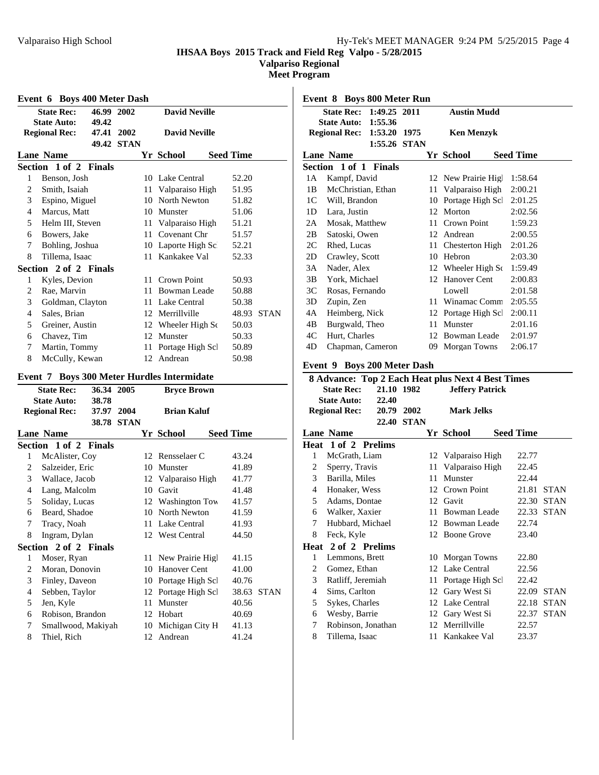**Valpariso Regional**

**Meet Program**

|                                                      | Event 6 Boys 400 Meter Dash       |               |                   |    |                               |  |                  |             |
|------------------------------------------------------|-----------------------------------|---------------|-------------------|----|-------------------------------|--|------------------|-------------|
|                                                      | <b>State Rec:</b>                 | 46.99 2002    |                   |    | <b>David Neville</b>          |  |                  |             |
|                                                      | <b>State Auto:</b>                | 49.42         |                   |    |                               |  |                  |             |
|                                                      | <b>Regional Rec:</b>              | 47.41 2002    |                   |    | <b>David Neville</b>          |  |                  |             |
|                                                      |                                   |               | 49.42 STAN        |    |                               |  |                  |             |
|                                                      | <b>Lane Name</b>                  |               |                   |    | Yr School                     |  | <b>Seed Time</b> |             |
|                                                      | Section 1 of 2 Finals             |               |                   |    |                               |  |                  |             |
| 1                                                    | Benson, Josh                      |               |                   |    | 10 Lake Central               |  | 52.20            |             |
| $\overline{2}$                                       | Smith, Isaiah                     |               |                   |    | 11 Valparaiso High            |  | 51.95            |             |
| 3                                                    | Espino, Miguel                    |               |                   |    | 10 North Newton               |  | 51.82            |             |
| $\overline{4}$                                       | Marcus, Matt                      |               |                   |    | 10 Munster                    |  | 51.06            |             |
| 5                                                    | Helm III, Steven                  |               |                   |    | 11 Valparaiso High            |  | 51.21            |             |
| 6                                                    | Bowers, Jake                      |               |                   |    | 11 Covenant Chr               |  | 51.57            |             |
| 7                                                    | Bohling, Joshua                   |               |                   |    | 10 Laporte High Sc            |  | 52.21            |             |
| 8                                                    | Tillema, Isaac                    |               |                   |    | 11 Kankakee Val               |  | 52.33            |             |
|                                                      | Section 2 of 2 Finals             |               |                   |    |                               |  |                  |             |
| 1                                                    | Kyles, Devion                     |               |                   |    | 11 Crown Point                |  | 50.93            |             |
| $\overline{c}$                                       | Rae, Marvin                       |               |                   |    | 11 Bowman Leade               |  | 50.88            |             |
| 3                                                    | Goldman, Clayton                  |               |                   |    | 11 Lake Central               |  | 50.38            |             |
| $\overline{4}$                                       | Sales, Brian                      |               |                   |    | 12 Merrillville               |  |                  | 48.93 STAN  |
| 5                                                    | Greiner, Austin                   |               |                   |    | 12 Wheeler High So            |  | 50.03            |             |
| 6                                                    | Chavez, Tim                       |               |                   |    | 12 Munster                    |  | 50.33            |             |
| 7                                                    | Martin, Tommy                     |               |                   |    | 11 Portage High Scl           |  | 50.89            |             |
| 8                                                    | McCully, Kewan                    |               |                   |    | 12 Andrean                    |  | 50.98            |             |
| <b>Boys 300 Meter Hurdles Intermidate</b><br>Event 7 |                                   |               |                   |    |                               |  |                  |             |
|                                                      |                                   |               |                   |    |                               |  |                  |             |
|                                                      | <b>State Rec:</b>                 | 36.34 2005    |                   |    | <b>Bryce Brown</b>            |  |                  |             |
|                                                      | <b>State Auto:</b>                | 38.78         |                   |    |                               |  |                  |             |
|                                                      | <b>Regional Rec:</b>              | 37.97         | 2004              |    | <b>Brian Kaluf</b>            |  |                  |             |
|                                                      |                                   |               | <b>38.78 STAN</b> |    |                               |  |                  |             |
|                                                      | <b>Lane Name</b>                  |               |                   |    | Yr School                     |  | <b>Seed Time</b> |             |
|                                                      | Section 1 of 2                    | <b>Finals</b> |                   |    |                               |  |                  |             |
| 1                                                    | McAlister, Coy                    |               |                   |    | 12 Rensselaer C               |  | 43.24            |             |
| 2                                                    | Salzeider, Eric                   |               |                   |    | 10 Munster                    |  | 41.89            |             |
| 3                                                    | Wallace, Jacob                    |               |                   |    | 12 Valparaiso High            |  | 41.77            |             |
| $\overline{4}$                                       | Lang, Malcolm                     |               |                   |    | 10 Gavit                      |  | 41.48            |             |
| 5                                                    | Soliday, Lucas                    |               |                   |    | 12 Washington Tow             |  | 41.57            |             |
| 6                                                    | Beard, Shadoe                     |               |                   |    | 10 North Newton               |  | 41.59            |             |
| 7                                                    | Tracy, Noah                       |               |                   |    | 11 Lake Central               |  | 41.93            |             |
| 8                                                    | Ingram, Dylan                     |               |                   |    | 12 West Central               |  | 44.50            |             |
|                                                      | Section 2 of 2 Finals             |               |                   |    |                               |  |                  |             |
| 1                                                    | Moser, Ryan                       |               |                   | 11 | New Prairie High              |  | 41.15            |             |
| 2                                                    | Moran, Donovin                    |               |                   | 10 | Hanover Cent                  |  | 41.00            |             |
| 3                                                    | Finley, Daveon                    |               |                   |    | 10 Portage High Scl           |  | 40.76            |             |
| $\overline{\mathcal{L}}$                             | Sebben, Taylor                    |               |                   | 12 | Portage High Scl              |  | 38.63            | <b>STAN</b> |
| 5                                                    | Jen, Kyle                         |               |                   | 11 | Munster                       |  | 40.56            |             |
| 6                                                    | Robison, Brandon                  |               |                   | 12 | Hobart                        |  | 40.69            |             |
| 7<br>8                                               | Smallwood, Makiyah<br>Thiel, Rich |               |                   | 10 | Michigan City H<br>12 Andrean |  | 41.13<br>41.24   |             |

|                       | State Rec: 1:49.25 2011<br><b>State Auto: 1:55.36</b> |              |  |                   | <b>Austin Mudd</b>  |                  |
|-----------------------|-------------------------------------------------------|--------------|--|-------------------|---------------------|------------------|
| Regional Rec: 1:53.20 |                                                       | 1975         |  | <b>Ken Menzyk</b> |                     |                  |
|                       |                                                       | 1:55.26 STAN |  |                   |                     |                  |
|                       | <b>Lane Name</b>                                      |              |  |                   | Yr School           | <b>Seed Time</b> |
|                       | Section 1 of 1 Finals                                 |              |  |                   |                     |                  |
| 1A                    | Kampf, David                                          |              |  |                   | 12 New Prairie High | 1:58.64          |
| 1B                    | McChristian, Ethan                                    |              |  | 11                | Valparaiso High     | 2:00.21          |
| 1C                    | Will, Brandon                                         |              |  | 10                | Portage High Scl    | 2:01.25          |
| 1D                    | Lara, Justin                                          |              |  | 12                | Morton              | 2:02.56          |
| 2A                    | Mosak, Matthew                                        |              |  | 11                | Crown Point         | 1:59.23          |
| 2B                    | Satoski, Owen                                         |              |  | 12 <sup>1</sup>   | Andrean             | 2:00.55          |
| 2C                    | Rhed, Lucas                                           |              |  | 11                | Chesterton High     | 2:01.26          |
| 2D                    | Crawley, Scott                                        |              |  | 10                | Hebron              | 2:03.30          |
| 3A                    | Nader, Alex                                           |              |  |                   | 12 Wheeler High Sc  | 1:59.49          |
| 3B                    | York, Michael                                         |              |  | 12.               | Hanover Cent        | 2:00.83          |
| 3C                    | Rosas, Fernando                                       |              |  |                   | Lowell              | 2:01.58          |
| 3D                    | Zupin, Zen                                            |              |  | 11                | Winamac Comm        | 2:05.55          |
| 4A                    | Heimberg, Nick                                        |              |  | 12                | Portage High Scl    | 2:00.11          |
| 4B                    | Burgwald, Theo                                        |              |  | 11                | Munster             | 2:01.16          |
| 4C                    | Hurt, Charles                                         |              |  |                   | 12 Bowman Leade     | 2:01.97          |
| 4D                    | Chapman, Cameron                                      |              |  | 09                | Morgan Towns        | 2:06.17          |

### **Event 9 Boys 200 Meter Dash**

| 21.10 1982<br><b>State Rec:</b><br><b>Jeffery Patrick</b><br><b>State Auto:</b><br>22.40<br>20.79 2002<br><b>Regional Rec:</b><br><b>Mark Jelks</b><br><b>STAN</b><br>22.40<br><b>Lane Name</b><br><b>Seed Time</b><br>Yr School |             |
|----------------------------------------------------------------------------------------------------------------------------------------------------------------------------------------------------------------------------------|-------------|
|                                                                                                                                                                                                                                  |             |
|                                                                                                                                                                                                                                  |             |
|                                                                                                                                                                                                                                  |             |
|                                                                                                                                                                                                                                  |             |
|                                                                                                                                                                                                                                  |             |
| 1 of 2 Prelims<br>Heat                                                                                                                                                                                                           |             |
| 1<br>McGrath, Liam<br>12 Valparaiso High<br>22.77                                                                                                                                                                                |             |
| Sperry, Travis<br>2<br>Valparaiso High<br>22.45<br>11                                                                                                                                                                            |             |
| 3<br>22.44<br>Barilla, Miles<br>Munster<br>11                                                                                                                                                                                    |             |
| Crown Point<br>21.81<br>4<br>Honaker, Wess<br>12                                                                                                                                                                                 | <b>STAN</b> |
| 5<br>Adams, Dontae<br>12 Gavit<br>22.30                                                                                                                                                                                          | <b>STAN</b> |
| 6<br>Walker, Xaxier<br>Bowman Leade<br>22.33<br>11                                                                                                                                                                               | <b>STAN</b> |
| 7<br>12 Bowman Leade<br>22.74<br>Hubbard, Michael                                                                                                                                                                                |             |
| 8<br>Feck, Kyle<br>12 Boone Grove<br>23.40                                                                                                                                                                                       |             |
| 2 of 2 Prelims<br>Heat                                                                                                                                                                                                           |             |
| Morgan Towns<br>22.80<br>1<br>Lemmons, Brett<br>10                                                                                                                                                                               |             |
| 12 Lake Central<br>2<br>22.56<br>Gomez, Ethan                                                                                                                                                                                    |             |
| 3<br>Ratliff, Jeremiah<br>Portage High Scl<br>22.42<br>11                                                                                                                                                                        |             |
| $\overline{4}$<br>Sims, Carlton<br>12 Gary West Si<br>22.09                                                                                                                                                                      | <b>STAN</b> |
| 5<br>Sykes, Charles<br>12 Lake Central<br>22.18                                                                                                                                                                                  | <b>STAN</b> |
| Wesby, Barrie<br>6<br>Gary West Si<br>22.37<br>12                                                                                                                                                                                | <b>STAN</b> |
| Robinson, Jonathan<br>Merrillville<br>7<br>22.57<br>12                                                                                                                                                                           |             |
| 8<br>11 Kankakee Val<br>23.37<br>Tillema, Isaac                                                                                                                                                                                  |             |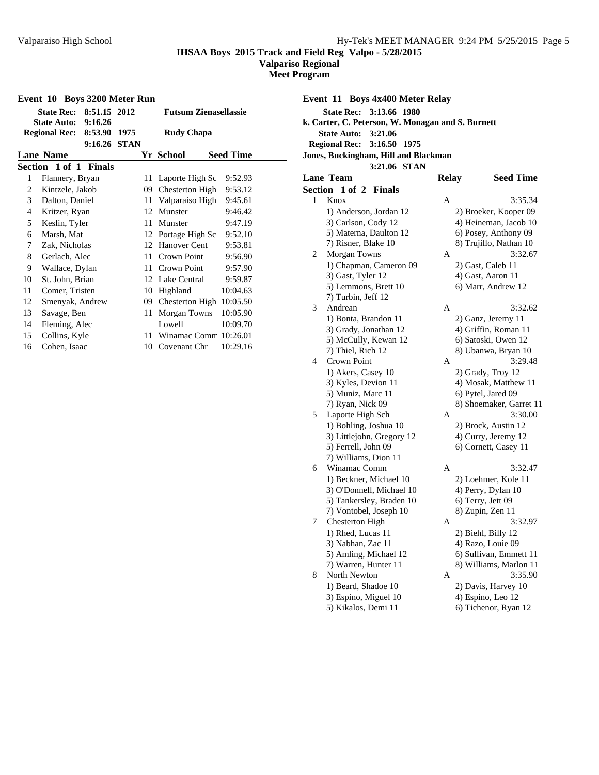**Valpariso Regional**

**Meet Program**

|                | Event 10 Boys 3200 Meter Run |              |      |                 |                              |                  |
|----------------|------------------------------|--------------|------|-----------------|------------------------------|------------------|
|                | State Rec: 8:51.15 2012      |              |      |                 | <b>Futsum Zienasellassie</b> |                  |
|                | <b>State Auto: 9:16.26</b>   |              |      |                 |                              |                  |
|                | Regional Rec: 8:53.90        |              | 1975 |                 | <b>Rudy Chapa</b>            |                  |
|                |                              | 9:16.26 STAN |      |                 |                              |                  |
|                | <b>Lane Name</b>             |              |      |                 | Yr School                    | <b>Seed Time</b> |
|                | Section 1 of 1 Finals        |              |      |                 |                              |                  |
| 1              | Flannery, Bryan              |              |      | 11              | Laporte High Sc              | 9:52.93          |
| 2              | Kintzele, Jakob              |              |      | 09              | Chesterton High              | 9:53.12          |
| 3              | Dalton, Daniel               |              |      |                 | 11 Valparaiso High           | 9:45.61          |
| $\overline{4}$ | Kritzer, Ryan                |              |      | 12              | Munster                      | 9:46.42          |
| 5              | Keslin, Tyler                |              |      | 11              | Munster                      | 9:47.19          |
| 6              | Marsh, Mat                   |              |      |                 | 12 Portage High Scl          | 9:52.10          |
| 7              | Zak, Nicholas                |              |      | 12 <sup>1</sup> | Hanover Cent                 | 9:53.81          |
| 8              | Gerlach, Alec                |              |      | 11              | Crown Point                  | 9:56.90          |
| 9              | Wallace, Dylan               |              |      | 11              | Crown Point                  | 9:57.90          |
| 10             | St. John, Brian              |              |      |                 | 12 Lake Central              | 9:59.87          |
| 11             | Comer, Tristen               |              |      | 10              | Highland                     | 10:04.63         |
| 12             | Smenyak, Andrew              |              |      | 09.             | Chesterton High 10:05.50     |                  |
| 13             | Savage, Ben                  |              |      | 11              | Morgan Towns                 | 10:05.90         |
| 14             | Fleming, Alec                |              |      |                 | Lowell                       | 10:09.70         |
| 15             | Collins, Kyle                |              |      | 11              | Winamac Comm 10:26.01        |                  |
| 16             | Cohen, Isaac                 |              |      | 10              | Covenant Chr                 | 10:29.16         |
|                |                              |              |      |                 |                              |                  |

**Event 11 Boys 4x400 Meter Relay State Rec: 3:13.66 1980 k. Carter, C. Peterson, W. Monagan and S. Burnett State Auto: 3:21.06 Regional Rec: 3:16.50 1975 Jones, Buckingham, Hill and Blackman 3:21.06 STAN Lane Team Relay Seed Time Section 1 of 2 Finals** 1 Knox A 3:35.34 1) Anderson, Jordan 12 2) Broeker, Kooper 09 3) Carlson, Cody 12 4) Heineman, Jacob 10

|   | 3) Carlson, Cody 12       |   | 4) Heineman, Jacob 10   |
|---|---------------------------|---|-------------------------|
|   | 5) Materna, Daulton 12    |   | 6) Posey, Anthony 09    |
|   | 7) Risner, Blake 10       |   | 8) Trujillo, Nathan 10  |
| 2 | Morgan Towns              | А | 3:32.67                 |
|   | 1) Chapman, Cameron 09    |   | 2) Gast, Caleb 11       |
|   | 3) Gast, Tyler 12         |   | 4) Gast, Aaron 11       |
|   | 5) Lemmons, Brett 10      |   | 6) Marr, Andrew 12      |
|   | 7) Turbin, Jeff 12        |   |                         |
| 3 | Andrean                   | А | 3:32.62                 |
|   | 1) Bonta, Brandon 11      |   | 2) Ganz, Jeremy 11      |
|   | 3) Grady, Jonathan 12     |   | 4) Griffin, Roman 11    |
|   | 5) McCully, Kewan 12      |   | 6) Satoski, Owen 12     |
|   | 7) Thiel, Rich 12         |   | 8) Ubanwa, Bryan 10     |
| 4 | Crown Point               | А | 3:29.48                 |
|   | 1) Akers, Casey 10        |   | 2) Grady, Troy 12       |
|   | 3) Kyles, Devion 11       |   | 4) Mosak, Matthew 11    |
|   | 5) Muniz, Marc 11         |   | 6) Pytel, Jared 09      |
|   | 7) Ryan, Nick 09          |   | 8) Shoemaker, Garret 11 |
| 5 | Laporte High Sch          | А | 3:30.00                 |
|   | 1) Bohling, Joshua 10     |   | 2) Brock, Austin 12     |
|   | 3) Littlejohn, Gregory 12 |   | 4) Curry, Jeremy 12     |
|   | 5) Ferrell, John 09       |   | 6) Cornett, Casey 11    |
|   | 7) Williams, Dion 11      |   |                         |
| 6 | Winamac Comm              | А | 3:32.47                 |
|   | 1) Beckner, Michael 10    |   | 2) Loehmer, Kole 11     |
|   | 3) O'Donnell, Michael 10  |   | 4) Perry, Dylan 10      |
|   | 5) Tankersley, Braden 10  |   | 6) Terry, Jett 09       |
|   | 7) Vontobel, Joseph 10    |   | 8) Zupin, Zen 11        |
| 7 | <b>Chesterton High</b>    | А | 3:32.97                 |
|   | 1) Rhed, Lucas 11         |   | 2) Biehl, Billy 12      |
|   | 3) Nabhan, Zac 11         |   | 4) Razo, Louie 09       |
|   | 5) Amling, Michael 12     |   | 6) Sullivan, Emmett 11  |
|   | 7) Warren, Hunter 11      |   | 8) Williams, Marlon 11  |
| 8 | North Newton              | А | 3:35.90                 |
|   | 1) Beard, Shadoe 10       |   | 2) Davis, Harvey 10     |
|   | 3) Espino, Miguel 10      |   | 4) Espino, Leo 12       |
|   | 5) Kikalos, Demi 11       |   | 6) Tichenor, Ryan 12    |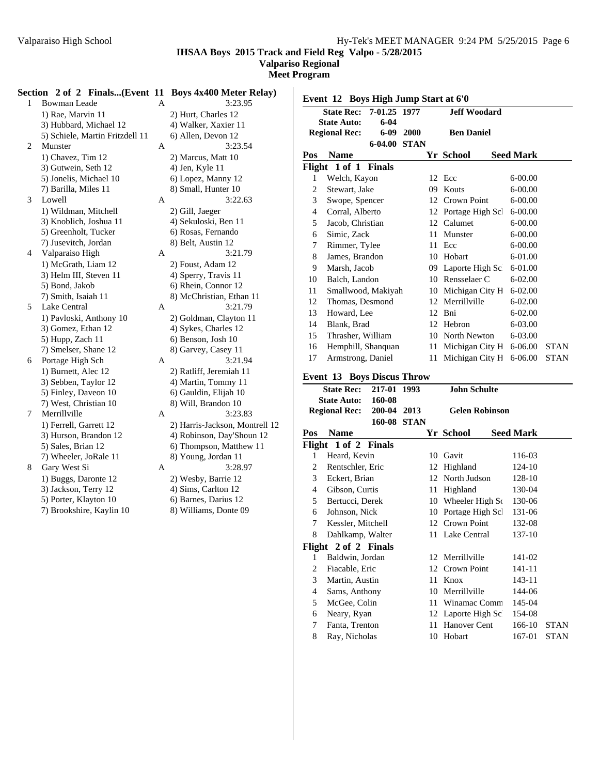**Valpariso Regional**

**Meet Program**

|                | Section 2 of 2 Finals(Event 11 Boys 4x400 Meter Relay) |   |                                |
|----------------|--------------------------------------------------------|---|--------------------------------|
| 1              | <b>Bowman Leade</b>                                    | A | 3:23.95                        |
|                | 1) Rae, Marvin 11                                      |   | 2) Hurt, Charles 12            |
|                | 3) Hubbard, Michael 12                                 |   | 4) Walker, Xaxier 11           |
|                | 5) Schiele, Martin Fritzdell 11                        |   | 6) Allen, Devon 12             |
| $\overline{2}$ | Munster                                                | A | 3:23.54                        |
|                | 1) Chavez, Tim 12                                      |   | 2) Marcus, Matt 10             |
|                | 3) Gutwein, Seth 12                                    |   | 4) Jen, Kyle 11                |
|                | 5) Jonelis, Michael 10                                 |   | 6) Lopez, Manny 12             |
|                | 7) Barilla, Miles 11                                   |   | 8) Small, Hunter 10            |
| 3              | Lowell                                                 | А | 3:22.63                        |
|                | 1) Wildman, Mitchell                                   |   | 2) Gill, Jaeger                |
|                | 3) Knoblich, Joshua 11                                 |   | 4) Sekuloski, Ben 11           |
|                | 5) Greenholt, Tucker                                   |   | 6) Rosas, Fernando             |
|                | 7) Jusevitch, Jordan                                   |   | 8) Belt, Austin 12             |
| $\overline{4}$ | Valparaiso High                                        | A | 3:21.79                        |
|                | 1) McGrath, Liam 12                                    |   | 2) Foust, Adam 12              |
|                | 3) Helm III, Steven 11                                 |   | 4) Sperry, Travis 11           |
|                | 5) Bond, Jakob                                         |   | 6) Rhein, Connor 12            |
|                | 7) Smith, Isaiah 11                                    |   | 8) McChristian, Ethan 11       |
| 5              | Lake Central                                           | A | 3:21.79                        |
|                | 1) Pavloski, Anthony 10                                |   | 2) Goldman, Clayton 11         |
|                | 3) Gomez, Ethan 12                                     |   | 4) Sykes, Charles 12           |
|                | 5) Hupp, Zach 11                                       |   | 6) Benson, Josh 10             |
|                | 7) Smelser, Shane 12                                   |   | 8) Garvey, Casey 11            |
| 6              | Portage High Sch                                       | А | 3:21.94                        |
|                | 1) Burnett, Alec 12                                    |   | 2) Ratliff, Jeremiah 11        |
|                | 3) Sebben, Taylor 12                                   |   | 4) Martin, Tommy 11            |
|                | 5) Finley, Daveon 10                                   |   | 6) Gauldin, Elijah 10          |
|                | 7) West, Christian 10                                  |   | 8) Will, Brandon 10            |
| 7              | Merrillville                                           | A | 3:23.83                        |
|                | 1) Ferrell, Garrett 12                                 |   | 2) Harris-Jackson, Montrell 12 |
|                | 3) Hurson, Brandon 12                                  |   | 4) Robinson, Day'Shoun 12      |
|                | 5) Sales, Brian 12                                     |   | 6) Thompson, Matthew 11        |
|                | 7) Wheeler, JoRale 11                                  |   | 8) Young, Jordan 11            |
| 8              | Gary West Si                                           | A | 3:28.97                        |
|                | 1) Buggs, Daronte 12                                   |   | 2) Wesby, Barrie 12            |
|                | 3) Jackson, Terry 12                                   |   | 4) Sims, Carlton 12            |
|                | 5) Porter, Klayton 10                                  |   | 6) Barnes, Darius 12           |
|                | 7) Brookshire, Kaylin 10                               |   | 8) Williams, Donte 09          |

| <b>Boys 4x400 Meter Relay)</b> |
|--------------------------------|
| 3:23.95                        |
| 2) Hurt, Charles 12            |
| 4) Walker, Xaxier 11           |
| 6) Allen, Devon 12             |
| 3:23.54                        |
| 2) Marcus, Matt 10             |
| 4) Jen, Kyle 11                |
| 6) Lopez, Manny 12             |
| 8) Small, Hunter 10            |
| 3:22.63                        |
| 2) Gill, Jaeger                |
| 4) Sekuloski, Ben 11           |
| 6) Rosas, Fernando             |
| 8) Belt, Austin 12             |
| 3:21.79                        |
| 2) Foust, Adam 12              |
| 4) Sperry, Travis 11           |
| 6) Rhein, Connor 12            |
| 8) McChristian, Ethan 11       |
| 3:21.79                        |
| 2) Goldman, Clayton 11         |
| 4) Sykes, Charles 12           |
| 6) Benson, Josh 10             |
| 8) Garvey, Casey 11            |
| 3:21.94                        |
| 2) Ratliff, Jeremiah 11        |
| 4) Martin, Tommy 11            |
| 6) Gauldin, Elijah 10          |
| 8) Will, Brandon 10            |
| 3:23.83                        |
| 2) Harris-Jackson, Montrell 12 |
| 4) Robinson, Day'Shoun 12      |
| 6) Thompson, Matthew 11        |
| 8) Young, Jordan 11            |
| 3:28.97                        |
| 2) Wesby, Barrie 12            |
| 4) Sims, Carlton 12            |
| 6) Barnes, Darius 12           |
| 8) Williams, Donte 09          |
|                                |
|                                |
|                                |

| 7-01.25 1977<br><b>Jeff Woodard</b><br><b>State Rec:</b> |                      |               |             |                   |                     |  |                  |             |
|----------------------------------------------------------|----------------------|---------------|-------------|-------------------|---------------------|--|------------------|-------------|
|                                                          | <b>State Auto:</b>   | $6-04$        |             |                   |                     |  |                  |             |
|                                                          | <b>Regional Rec:</b> | $6-09$        | 2000        | <b>Ben Daniel</b> |                     |  |                  |             |
|                                                          |                      | 6-04.00       | <b>STAN</b> |                   |                     |  |                  |             |
| Pos                                                      | <b>Name</b>          |               |             |                   | Yr School           |  | <b>Seed Mark</b> |             |
|                                                          | Flight 1 of 1        | <b>Finals</b> |             |                   |                     |  |                  |             |
| 1                                                        | Welch, Kayon         |               |             |                   | 12 Ecc              |  | $6 - 00.00$      |             |
| 2                                                        | Stewart, Jake        |               |             | 09                | Kouts               |  | $6 - 00.00$      |             |
| 3                                                        | Swope, Spencer       |               |             | 12                | Crown Point         |  | $6 - 00.00$      |             |
| 4                                                        | Corral, Alberto      |               |             |                   | 12 Portage High Scl |  | $6 - 00.00$      |             |
| 5                                                        | Jacob, Christian     |               |             | 12                | Calumet             |  | $6 - 00.00$      |             |
| 6                                                        | Simic, Zack          |               |             | 11                | Munster             |  | $6 - 00.00$      |             |
| 7                                                        | Rimmer, Tylee        |               |             | 11                | Ecc                 |  | $6 - 00.00$      |             |
| 8                                                        | James, Brandon       |               |             | 10                | Hobart              |  | 6-01.00          |             |
| 9                                                        | Marsh, Jacob         |               |             |                   | 09 Laporte High Sc. |  | $6-01.00$        |             |
| 10                                                       | Balch, Landon        |               |             | 10                | Rensselaer C        |  | $6 - 02.00$      |             |
| 11                                                       | Smallwood, Makiyah   |               |             | 10                | Michigan City H     |  | $6 - 02.00$      |             |
| 12                                                       | Thomas, Desmond      |               |             | 12                | Merrillville        |  | $6 - 02.00$      |             |
| 13                                                       | Howard, Lee          |               |             | 12                | Bni                 |  | 6-02.00          |             |
| 14                                                       | Blank, Brad          |               |             | 12                | Hebron              |  | $6 - 03.00$      |             |
| 15                                                       | Thrasher, William    |               |             | 10                | North Newton        |  | $6 - 03.00$      |             |
| 16                                                       | Hemphill, Shanquan   |               |             | 11                | Michigan City H     |  | $6 - 06.00$      | <b>STAN</b> |
| 17                                                       | Armstrong, Daniel    |               |             | 11                | Michigan City H     |  | $6 - 06.00$      | <b>STAN</b> |

## **Event 13 Boys Discus Throw**

|                                | <b>State Rec:</b><br><b>State Auto:</b> | 217-01<br>160-08    | 1993                  |    | <b>John Schulte</b> |  |                  |             |
|--------------------------------|-----------------------------------------|---------------------|-----------------------|----|---------------------|--|------------------|-------------|
| 200-04<br><b>Regional Rec:</b> |                                         | 2013<br>160-08 STAN | <b>Gelen Robinson</b> |    |                     |  |                  |             |
| Pos                            | Name                                    |                     |                       |    | <b>Yr School</b>    |  | <b>Seed Mark</b> |             |
|                                | Flight 1 of 2 Finals                    |                     |                       |    |                     |  |                  |             |
| 1                              | Heard, Kevin                            |                     |                       | 10 | Gavit               |  | 116-03           |             |
| 2                              | Rentschler, Eric                        |                     |                       | 12 | Highland            |  | 124-10           |             |
| $\mathfrak{Z}$                 | Eckert, Brian                           |                     |                       |    | 12 North Judson     |  | 128-10           |             |
| 4                              | Gibson, Curtis                          |                     |                       | 11 | Highland            |  | 130-04           |             |
| 5                              | Bertucci, Derek                         |                     |                       | 10 | Wheeler High Sc     |  | 130-06           |             |
| 6                              | Johnson, Nick                           |                     |                       | 10 | Portage High Scl    |  | 131-06           |             |
| 7                              | Kessler, Mitchell                       |                     |                       |    | 12 Crown Point      |  | 132-08           |             |
| 8                              | Dahlkamp, Walter                        |                     |                       |    | 11 Lake Central     |  | 137-10           |             |
|                                | Flight 2 of 2 Finals                    |                     |                       |    |                     |  |                  |             |
| 1                              | Baldwin, Jordan                         |                     |                       |    | 12 Merrillville     |  | 141-02           |             |
| 2                              | Fiacable, Eric                          |                     |                       |    | 12 Crown Point      |  | 141-11           |             |
| 3                              | Martin, Austin                          |                     |                       | 11 | Knox                |  | 143-11           |             |
| 4                              | Sams, Anthony                           |                     |                       | 10 | Merrillville        |  | 144-06           |             |
| 5                              | McGee, Colin                            |                     |                       | 11 | Winamac Comm        |  | 145-04           |             |
| 6                              | Neary, Ryan                             |                     |                       | 12 | Laporte High Sc.    |  | 154-08           |             |
| 7                              | Fanta, Trenton                          |                     |                       | 11 | Hanover Cent        |  | 166-10           | <b>STAN</b> |
| 8                              | Ray, Nicholas                           |                     |                       | 10 | Hobart              |  | 167-01           | <b>STAN</b> |